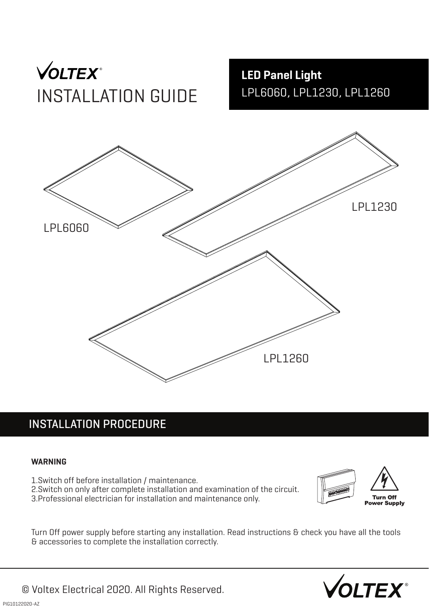

**LED Panel Light** LPL6060, LPL1230, LPL1260



### INSTALLATION PROCEDURE

#### **WARNING**

- 1.Switch off before installation / maintenance.
- 2.Switch on only after complete installation and examination of the circuit.
- 3.Professional electrician for installation and maintenance only.



Turn Off power supply before starting any installation. Read instructions & check you have all the tools & accessories to complete the installation correctly.



© Voltex Electrical 2020. All Rights Reserved.  $\sqrt{\text{OLTEX}}^{\circ}$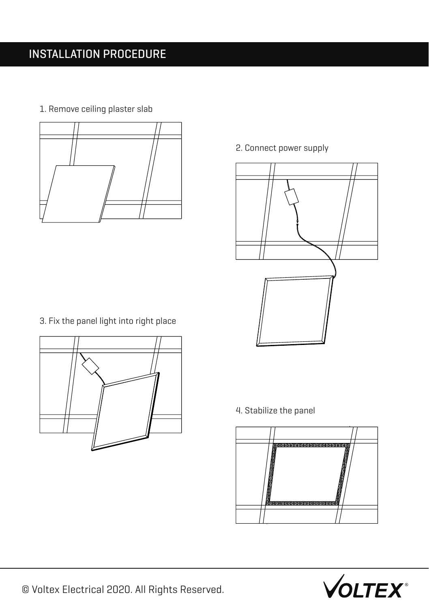1. Remove ceiling plaster slab



3. Fix the panel light into right place



2. Connect power supply



4. Stabilize the panel



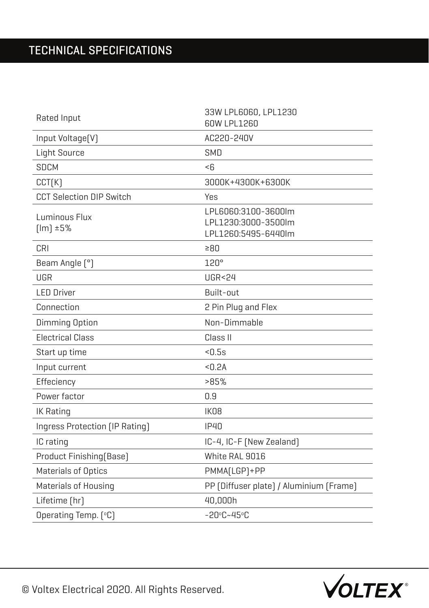## TECHNICAL SPECIFICATIONS

| Rated Input                     | 33W LPL6060, LPL1230<br>60W LPL1260                               |  |
|---------------------------------|-------------------------------------------------------------------|--|
| Input Voltage[V]                | AC220-240V                                                        |  |
| <b>Light Source</b>             | SMD                                                               |  |
| <b>SDCM</b>                     | $\leq$ ĥ                                                          |  |
| CCT(K)                          | 3000K+4300K+6300K                                                 |  |
| <b>CCT Selection DIP Switch</b> | Yes                                                               |  |
| Luminous Flux<br>$[Im] \pm 5%$  | LPL6060:3100-3600lm<br>LPL1230:3000-3500lm<br>LPL1260:5495-6440lm |  |
| CRI                             | ≥80                                                               |  |
| Beam Angle [°]                  | 120°                                                              |  |
| UGR                             | <b>UGR&lt;24</b>                                                  |  |
| <b>LED Driver</b>               | Built-out                                                         |  |
| Connection                      | 2 Pin Plug and Flex                                               |  |
|                                 | Non-Dimmable                                                      |  |
| <b>Dimming Option</b>           |                                                                   |  |
| <b>Electrical Class</b>         | Class II                                                          |  |
| Start up time                   | < 0.5s                                                            |  |
| Input current                   | < 0.2A                                                            |  |
| Effeciency                      | >85%                                                              |  |
| Power factor                    | 0.9                                                               |  |
| <b>IK Rating</b>                | IK08                                                              |  |
| Ingress Protection [IP Rating]  | <b>IP40</b>                                                       |  |
| IC rating                       | IC-4, IC-F (New Zealand)                                          |  |
| Product Finishing [Base]        | White RAL 9016                                                    |  |
| Materials of Optics             | PMMA[LGP]+PP                                                      |  |
| Materials of Housing            | PP [Diffuser plate] / Aluminium [Frame]                           |  |
| Lifetime [hr]                   | 40,000h                                                           |  |